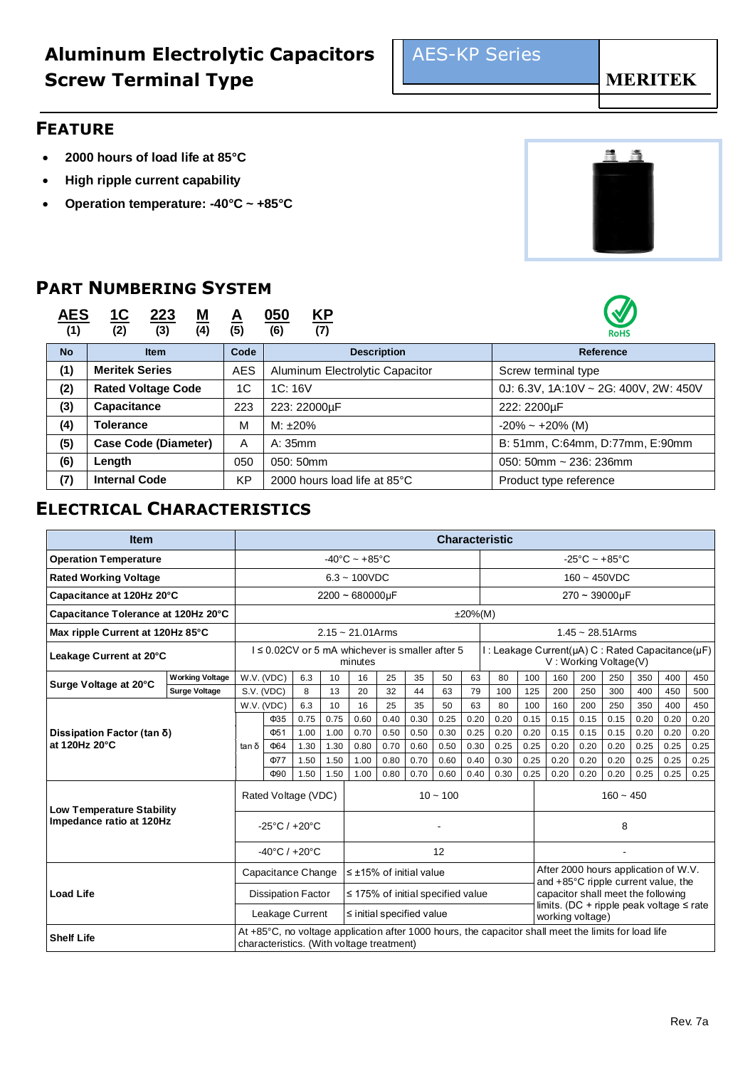### **FEATURE**

- **2000 hours of load life at 85°C**
- **High ripple current capability**
- **Operation temperature: -40°C ~ +85°C**

## **PART NUMBERING SYSTEM**

| <u>AES</u><br>(1) | <u> 1C</u><br>223<br><u>M</u><br>(2)<br>(3)<br>(4) | A<br>(5) | <u>KP</u><br><u>050</u><br>(6)<br>(7) | W<br><b>RoHS</b>                      |  |  |  |
|-------------------|----------------------------------------------------|----------|---------------------------------------|---------------------------------------|--|--|--|
| <b>No</b>         | <b>Item</b>                                        | Code     | <b>Description</b>                    | Reference                             |  |  |  |
| (1)               | <b>Meritek Series</b><br><b>AES</b>                |          | Aluminum Electrolytic Capacitor       | Screw terminal type                   |  |  |  |
| (2)               | <b>Rated Voltage Code</b>                          |          | 1C:16V                                | 0J: 6.3V, 1A:10V ~ 2G: 400V, 2W: 450V |  |  |  |
| (3)               | <b>Capacitance</b>                                 | 223      | 223: 22000µF                          | 222: 2200µF                           |  |  |  |
| (4)               | <b>Tolerance</b>                                   | M        | $M: \pm 20\%$                         | $-20\% - +20\%$ (M)                   |  |  |  |
| (5)               | <b>Case Code (Diameter)</b>                        |          | A: 35mm                               | B: 51mm, C:64mm, D:77mm, E:90mm       |  |  |  |
| (6)               | Length                                             | 050      | 050: 50mm                             | 050: 50mm $\sim$ 236: 236mm           |  |  |  |
| (7)               | <b>Internal Code</b>                               | KP       | 2000 hours load life at 85°C          | Product type reference                |  |  |  |

## **ELECTRICAL CHARACTERISTICS**

| <b>Item</b>                                 |                        | <b>Characteristic</b>                                                   |                                   |              |                |                                                                                                                                                   |              |              |              |                |              |              |                                                                                                                            |                        |              |              |              |              |
|---------------------------------------------|------------------------|-------------------------------------------------------------------------|-----------------------------------|--------------|----------------|---------------------------------------------------------------------------------------------------------------------------------------------------|--------------|--------------|--------------|----------------|--------------|--------------|----------------------------------------------------------------------------------------------------------------------------|------------------------|--------------|--------------|--------------|--------------|
| <b>Operation Temperature</b>                |                        | $-40^{\circ}$ C ~ +85 $^{\circ}$ C<br>$-25^{\circ}$ C ~ $+85^{\circ}$ C |                                   |              |                |                                                                                                                                                   |              |              |              |                |              |              |                                                                                                                            |                        |              |              |              |              |
| <b>Rated Working Voltage</b>                |                        |                                                                         |                                   |              | $6.3 - 100VDC$ |                                                                                                                                                   |              |              |              | $160 - 450VDC$ |              |              |                                                                                                                            |                        |              |              |              |              |
| Capacitance at 120Hz 20°C                   |                        |                                                                         |                                   |              |                | $2200 - 680000 \mu F$                                                                                                                             |              |              |              |                |              |              |                                                                                                                            | $270 - 39000 \mu F$    |              |              |              |              |
| Capacitance Tolerance at 120Hz 20°C         |                        |                                                                         |                                   |              |                |                                                                                                                                                   |              |              |              | $±20\%$ (M)    |              |              |                                                                                                                            |                        |              |              |              |              |
| Max ripple Current at 120Hz 85°C            |                        |                                                                         |                                   |              |                | $2.15 \sim 21.01$ Arms                                                                                                                            |              |              |              |                |              |              |                                                                                                                            | $1.45 \sim 28.51$ Arms |              |              |              |              |
| Leakage Current at 20°C                     |                        |                                                                         |                                   |              |                | I ≤ 0.02CV or 5 mA whichever is smaller after 5<br>minutes                                                                                        |              |              |              |                |              |              | I: Leakage Current(µA) C: Rated Capacitance(µF)<br>V: Working Voltage(V)                                                   |                        |              |              |              |              |
| Surge Voltage at 20°C                       | <b>Working Voltage</b> |                                                                         | W.V. (VDC)                        | 6.3          | 10             | 16                                                                                                                                                | 25           | 35           | 50           | 63             | 80           | 100          | 160                                                                                                                        | 200                    | 250          | 350          | 400          | 450          |
|                                             | <b>Surge Voltage</b>   | S.V. (VDC)                                                              |                                   | 8            | 13             | 20                                                                                                                                                | 32           | 44           | 63           | 79             | 100          | 125          | 200                                                                                                                        | 250                    | 300          | 400          | 450          | 500          |
|                                             |                        |                                                                         | W.V. (VDC)                        | 6.3          | 10             | 16                                                                                                                                                | 25           | 35           | 50           | 63             | 80           | 100          | 160                                                                                                                        | 200                    | 250          | 350          | 400          | 450          |
|                                             |                        |                                                                         | $\Phi$ 35<br>Ф51                  | 0.75<br>1.00 | 0.75<br>1.00   | 0.60<br>0.70                                                                                                                                      | 0.40<br>0.50 | 0.30<br>0.50 | 0.25<br>0.30 | 0.20<br>0.25   | 0.20<br>0.20 | 0.15<br>0.20 | 0.15<br>0.15                                                                                                               | 0.15<br>0.15           | 0.15<br>0.15 | 0.20<br>0.20 | 0.20<br>0.20 | 0.20<br>0.20 |
| Dissipation Factor (tan δ)<br>at 120Hz 20°C |                        | $tan \delta$                                                            | $\Phi$ 64                         | 1.30         | 1.30           | 0.80                                                                                                                                              | 0.70         | 0.60         | 0.50         | 0.30           | 0.25         | 0.25         | 0.20                                                                                                                       | 0.20                   | 0.20         | 0.25         | 0.25         | 0.25         |
|                                             |                        |                                                                         | Ф77                               | 1.50         | 1.50           | 1.00                                                                                                                                              | 0.80         | 0.70         | 0.60         | 0.40           | 0.30         | 0.25         | 0.20                                                                                                                       | 0.20                   | 0.20         | 0.25         | 0.25         | 0.25         |
|                                             |                        |                                                                         | Φ90                               | 1.50         | 1.50           | 1.00                                                                                                                                              | 0.80         | 0.70         | 0.60         | 0.40           | 0.30         | 0.25         | 0.20                                                                                                                       | 0.20                   | 0.20         | 0.25         | 0.25         | 0.25         |
| Low Temperature Stability                   |                        | Rated Voltage (VDC)                                                     |                                   |              |                | $10 - 100$                                                                                                                                        |              |              |              |                |              |              | $160 - 450$                                                                                                                |                        |              |              |              |              |
| Impedance ratio at 120Hz                    |                        |                                                                         | $-25^{\circ}$ C / $+20^{\circ}$ C |              |                |                                                                                                                                                   |              |              |              |                | 8            |              |                                                                                                                            |                        |              |              |              |              |
|                                             |                        |                                                                         | $-40^{\circ}$ C / $+20^{\circ}$ C |              |                |                                                                                                                                                   |              |              | 12           |                |              |              |                                                                                                                            |                        |              |              |              |              |
| <b>Load Life</b>                            |                        |                                                                         | Capacitance Change                |              |                | $\leq$ ±15% of initial value                                                                                                                      |              |              |              |                |              |              | After 2000 hours application of W.V.                                                                                       |                        |              |              |              |              |
|                                             |                        |                                                                         | <b>Dissipation Factor</b>         |              |                | $\leq$ 175% of initial specified value                                                                                                            |              |              |              |                |              |              | and +85°C ripple current value, the<br>capacitor shall meet the following<br>limits. (DC + ripple peak voltage $\leq$ rate |                        |              |              |              |              |
|                                             |                        |                                                                         | Leakage Current                   |              |                | $\le$ initial specified value                                                                                                                     |              |              |              |                |              |              | working voltage)                                                                                                           |                        |              |              |              |              |
| <b>Shelf Life</b>                           |                        |                                                                         |                                   |              |                | At +85°C, no voltage application after 1000 hours, the capacitor shall meet the limits for load life<br>characteristics. (With voltage treatment) |              |              |              |                |              |              |                                                                                                                            |                        |              |              |              |              |



 $\mathcal{D}$ 



**MERITEK**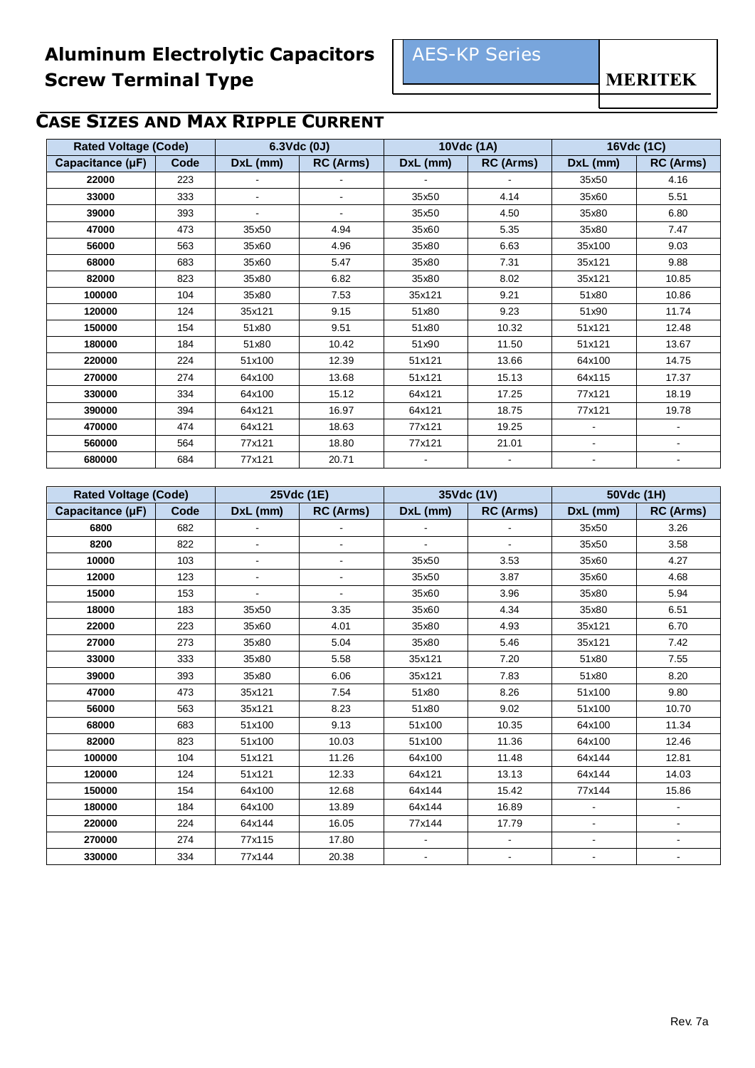# **CASE SIZES AND MAX RIPPLE CURRENT**

| <b>Rated Voltage (Code)</b> |      |          | 6.3Vdc (0J) |                | 10Vdc (1A)               | 16Vdc (1C)               |                          |  |
|-----------------------------|------|----------|-------------|----------------|--------------------------|--------------------------|--------------------------|--|
| Capacitance (µF)            | Code | DxL (mm) | RC (Arms)   | DxL (mm)       | RC (Arms)                | DxL (mm)                 | RC (Arms)                |  |
| 22000                       | 223  |          |             |                |                          | 35x50                    | 4.16                     |  |
| 33000                       | 333  |          |             | 35x50          | 4.14                     | 35x60                    | 5.51                     |  |
| 39000                       | 393  |          |             | 35x50          | 4.50                     | 35x80                    | 6.80                     |  |
| 47000                       | 473  | 35x50    | 4.94        | 35x60          | 5.35                     | 35x80                    | 7.47                     |  |
| 56000                       | 563  | 35x60    | 4.96        | 35x80          | 6.63                     | 35x100                   | 9.03                     |  |
| 68000                       | 683  | 35x60    | 5.47        | 35x80          | 7.31                     | 35x121                   | 9.88                     |  |
| 82000                       | 823  | 35x80    | 6.82        | 35x80          | 8.02                     | 35x121                   | 10.85                    |  |
| 100000                      | 104  | 35x80    | 7.53        | 35x121         | 9.21                     | 51x80                    | 10.86                    |  |
| 120000                      | 124  | 35x121   | 9.15        | 51x80          | 9.23                     | 51x90                    | 11.74                    |  |
| 150000                      | 154  | 51x80    | 9.51        | 51x80          | 10.32                    | 51x121                   | 12.48                    |  |
| 180000                      | 184  | 51x80    | 10.42       | 51x90          | 11.50                    | 51x121                   | 13.67                    |  |
| 220000                      | 224  | 51x100   | 12.39       | 51x121         | 13.66                    | 64x100                   | 14.75                    |  |
| 270000                      | 274  | 64x100   | 13.68       | 51x121         | 15.13                    | 64x115                   | 17.37                    |  |
| 330000                      | 334  | 64x100   | 15.12       | 64x121         | 17.25                    | 77x121                   | 18.19                    |  |
| 390000                      | 394  | 64x121   | 16.97       | 64x121         | 18.75                    | 77x121                   | 19.78                    |  |
| 470000                      | 474  | 64x121   | 18.63       | 77x121         | 19.25                    |                          |                          |  |
| 560000                      | 564  | 77x121   | 18.80       | 77x121         | 21.01                    | $\overline{\phantom{a}}$ | $\blacksquare$           |  |
| 680000                      | 684  | 77x121   | 20.71       | $\blacksquare$ | $\overline{\phantom{a}}$ | $\blacksquare$           | $\overline{\phantom{a}}$ |  |

| <b>Rated Voltage (Code)</b> |      |                | 25Vdc (1E)     |                          | 35Vdc (1V)               |                              | 50Vdc (1H) |
|-----------------------------|------|----------------|----------------|--------------------------|--------------------------|------------------------------|------------|
| Capacitance (µF)            | Code | $DxL$ (mm)     | RC (Arms)      | $DxL$ (mm)               | RC (Arms)                | $DxL$ (mm)                   | RC (Arms)  |
| 6800                        | 682  |                |                |                          |                          | 35x50                        | 3.26       |
| 8200                        | 822  |                |                |                          |                          | 35x50                        | 3.58       |
| 10000                       | 103  | $\blacksquare$ | $\blacksquare$ | 35x50                    | 3.53                     | 35x60                        | 4.27       |
| 12000                       | 123  | $\blacksquare$ | $\blacksquare$ | 35x50                    | 3.87                     | 35x60                        | 4.68       |
| 15000                       | 153  |                |                | 35x60                    | 3.96                     | 35x80                        | 5.94       |
| 18000                       | 183  | 35x50          | 3.35           | 35x60                    | 4.34                     | 35x80                        | 6.51       |
| 22000                       | 223  | 35x60          | 4.01           | 35x80                    | 4.93                     | 35x121                       | 6.70       |
| 27000                       | 273  | 35x80          | 5.04           | 35x80                    | 5.46                     | 35x121                       | 7.42       |
| 33000                       | 333  | 35x80          | 5.58           | 35x121                   | 7.20                     | 51x80                        | 7.55       |
| 39000                       | 393  | 35x80          | 6.06           | 35x121                   | 7.83                     | 51x80                        | 8.20       |
| 47000                       | 473  | 35x121         | 7.54           | 51x80                    | 8.26                     | 51x100                       | 9.80       |
| 56000                       | 563  | 35x121         | 8.23           | 51x80                    | 9.02                     | 51x100                       | 10.70      |
| 68000                       | 683  | 51x100         | 9.13           | 51x100                   | 10.35                    | 64x100                       | 11.34      |
| 82000                       | 823  | 51x100         | 10.03          | 51x100                   | 11.36                    | 64x100                       | 12.46      |
| 100000                      | 104  | 51x121         | 11.26          | 64x100                   | 11.48                    | 64x144                       | 12.81      |
| 120000                      | 124  | 51x121         | 12.33          | 64x121                   | 13.13                    | 64x144                       | 14.03      |
| 150000                      | 154  | 64x100         | 12.68          | 64x144                   | 15.42                    | 77x144                       | 15.86      |
| 180000                      | 184  | 64x100         | 13.89          | 64x144                   | 16.89                    | $\overline{\phantom{a}}$     |            |
| 220000                      | 224  | 64x144         | 16.05          | 77x144                   | 17.79                    | $\overline{\phantom{a}}$     |            |
| 270000                      | 274  | 77x115         | 17.80          |                          | $\blacksquare$           | $\overline{\phantom{a}}$     |            |
| 330000                      | 334  | 77x144         | 20.38          | $\overline{\phantom{a}}$ | $\overline{\phantom{a}}$ | $\qquad \qquad \blacksquare$ |            |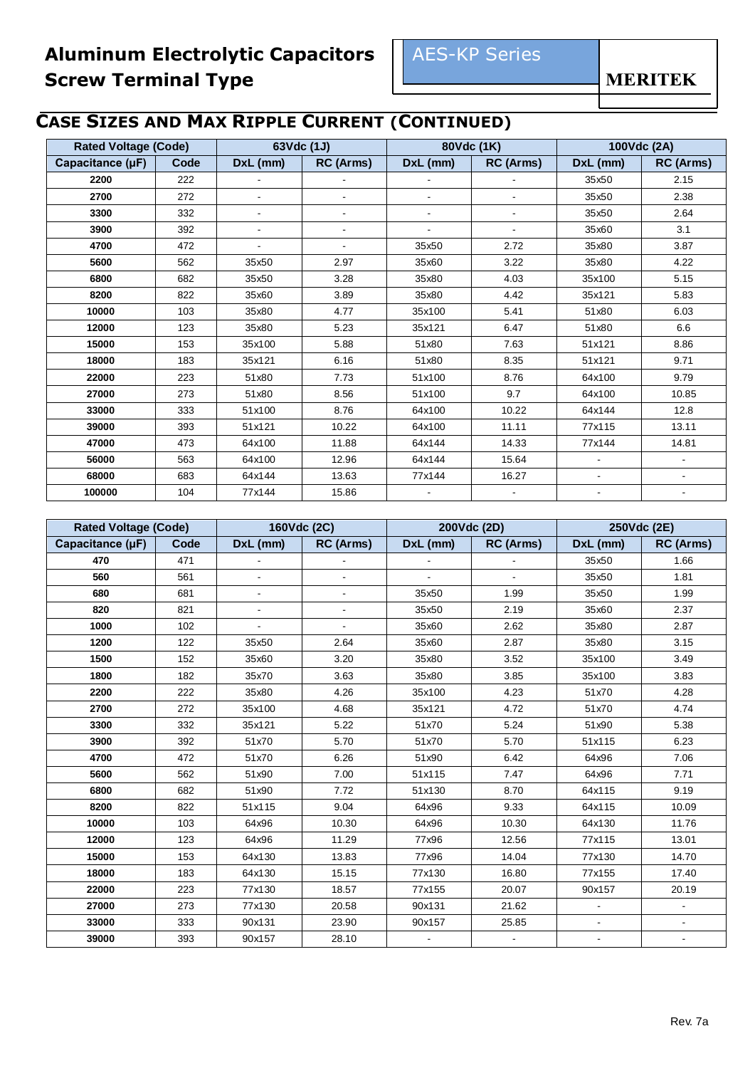# **CASE SIZES AND MAX RIPPLE CURRENT (CONTINUED)**

| <b>Rated Voltage (Code)</b> |      |          | 63Vdc (1J)     |                          | 80Vdc (1K)     |                | 100Vdc (2A)    |
|-----------------------------|------|----------|----------------|--------------------------|----------------|----------------|----------------|
| Capacitance (µF)            | Code | DxL (mm) | RC (Arms)      | DxL (mm)                 | RC (Arms)      | DxL (mm)       | RC (Arms)      |
| 2200                        | 222  |          |                |                          |                | 35x50          | 2.15           |
| 2700                        | 272  |          | ٠              | $\overline{\phantom{0}}$ |                | 35x50          | 2.38           |
| 3300                        | 332  | $\sim$   | $\blacksquare$ | $\blacksquare$           | $\blacksquare$ | 35x50          | 2.64           |
| 3900                        | 392  |          | $\blacksquare$ | $\overline{\phantom{0}}$ |                | 35x60          | 3.1            |
| 4700                        | 472  |          | ٠              | 35x50                    | 2.72           | 35x80          | 3.87           |
| 5600                        | 562  | 35x50    | 2.97           | 35x60                    | 3.22           | 35x80          | 4.22           |
| 6800                        | 682  | 35x50    | 3.28           | 35x80                    | 4.03           | 35x100         | 5.15           |
| 8200                        | 822  | 35x60    | 3.89           | 35x80                    | 4.42           | 35x121         | 5.83           |
| 10000                       | 103  | 35x80    | 4.77           | 35x100                   | 5.41           | 51x80          | 6.03           |
| 12000                       | 123  | 35x80    | 5.23           | 35x121                   | 6.47           | 51x80          | 6.6            |
| 15000                       | 153  | 35x100   | 5.88           | 51x80                    | 7.63           | 51x121         | 8.86           |
| 18000                       | 183  | 35x121   | 6.16           | 51x80                    | 8.35           | 51x121         | 9.71           |
| 22000                       | 223  | 51x80    | 7.73           | 51x100                   | 8.76           | 64x100         | 9.79           |
| 27000                       | 273  | 51x80    | 8.56           | 51x100                   | 9.7            | 64x100         | 10.85          |
| 33000                       | 333  | 51x100   | 8.76           | 64x100                   | 10.22          | 64x144         | 12.8           |
| 39000                       | 393  | 51x121   | 10.22          | 64x100                   | 11.11          | 77x115         | 13.11          |
| 47000                       | 473  | 64x100   | 11.88          | 64x144                   | 14.33          | 77x144         | 14.81          |
| 56000                       | 563  | 64x100   | 12.96          | 64x144                   | 15.64          | $\blacksquare$ | $\blacksquare$ |
| 68000                       | 683  | 64x144   | 13.63          | 77x144                   | 16.27          | $\blacksquare$ | $\blacksquare$ |
| 100000                      | 104  | 77x144   | 15.86          |                          |                |                |                |

| <b>Rated Voltage (Code)</b> |      |          | 160Vdc (2C)              |          | 200Vdc (2D)      |                          | 250Vdc (2E)              |
|-----------------------------|------|----------|--------------------------|----------|------------------|--------------------------|--------------------------|
| Capacitance $(\mu F)$       | Code | DxL (mm) | <b>RC</b> (Arms)         | DxL (mm) | <b>RC</b> (Arms) | $DxL$ (mm)               | <b>RC</b> (Arms)         |
| 470                         | 471  |          |                          |          |                  | 35x50                    | 1.66                     |
| 560                         | 561  | ä,       | $\overline{\phantom{m}}$ |          | $\blacksquare$   | 35x50                    | 1.81                     |
| 680                         | 681  | ٠        |                          | 35x50    | 1.99             | 35x50                    | 1.99                     |
| 820                         | 821  |          |                          | 35x50    | 2.19             | 35x60                    | 2.37                     |
| 1000                        | 102  |          |                          | 35x60    | 2.62             | 35x80                    | 2.87                     |
| 1200                        | 122  | 35x50    | 2.64                     | 35x60    | 2.87             | 35x80                    | 3.15                     |
| 1500                        | 152  | 35x60    | 3.20                     | 35x80    | 3.52             | 35x100                   | 3.49                     |
| 1800                        | 182  | 35x70    | 3.63                     | 35x80    | 3.85             | 35x100                   | 3.83                     |
| 2200                        | 222  | 35x80    | 4.26                     | 35x100   | 4.23             | 51x70                    | 4.28                     |
| 2700                        | 272  | 35x100   | 4.68                     | 35x121   | 4.72             | 51x70                    | 4.74                     |
| 3300                        | 332  | 35x121   | 5.22                     | 51x70    | 5.24             | 51x90                    | 5.38                     |
| 3900                        | 392  | 51x70    | 5.70                     | 51x70    | 5.70             | 51x115                   | 6.23                     |
| 4700                        | 472  | 51x70    | 6.26                     | 51x90    | 6.42             | 64x96                    | 7.06                     |
| 5600                        | 562  | 51x90    | 7.00                     | 51x115   | 7.47             | 64x96                    | 7.71                     |
| 6800                        | 682  | 51x90    | 7.72                     | 51x130   | 8.70             | 64x115                   | 9.19                     |
| 8200                        | 822  | 51x115   | 9.04                     | 64x96    | 9.33             | 64x115                   | 10.09                    |
| 10000                       | 103  | 64x96    | 10.30                    | 64x96    | 10.30            | 64x130                   | 11.76                    |
| 12000                       | 123  | 64x96    | 11.29                    | 77x96    | 12.56            | 77x115                   | 13.01                    |
| 15000                       | 153  | 64x130   | 13.83                    | 77x96    | 14.04            | 77x130                   | 14.70                    |
| 18000                       | 183  | 64x130   | 15.15                    | 77x130   | 16.80            | 77x155                   | 17.40                    |
| 22000                       | 223  | 77x130   | 18.57                    | 77x155   | 20.07            | 90x157                   | 20.19                    |
| 27000                       | 273  | 77x130   | 20.58                    | 90x131   | 21.62            | $\blacksquare$           |                          |
| 33000                       | 333  | 90x131   | 23.90                    | 90x157   | 25.85            | $\overline{\phantom{a}}$ | $\overline{\phantom{a}}$ |
| 39000                       | 393  | 90x157   | 28.10                    |          |                  |                          |                          |